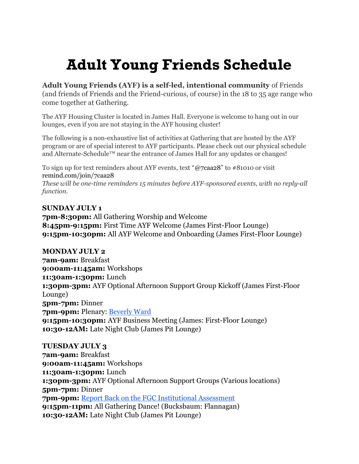# Adult Young Friends Schedule

Adult Young Friends (AYF) is a self-led, intentional community of Friends (and friends of Friends and the Friend-curious, of course) in the 18 to 35 age range who come together at Gathering.

The AYF Housing Cluster is located in James Hall. Everyone is welcome to hang out in our lounges, even if you are not staying in the AYF housing cluster!

The following is a non-exhaustive list of activities at Gathering that are hosted by the AYF program or are of special interest to AYF participants. Please check out our physical schedule and Alternate-Schedule™ near the entrance of James Hall for any updates or changes!

To sign up for text reminders about AYF events, text "@7caa28" to #81010 or visit remind.com/join/7caa28 These will be one-time reminders 15 minutes before AYF-sponsored events, with no reply-all function.

## SUNDAY JULY 1

7pm-8:30pm: All Gathering Worship and Welcome 8:45pm-9:15pm: First Time AYF Welcome (James First-Floor Lounge) 9:15pm-10:30pm: All AYF Welcome and Onboarding (James First-Floor Lounge)

MONDAY JULY 2 7am-9am: Breakfast 9:00am-11:45am: Workshops 11:30am-1:30pm: Lunch 1:30pm-3pm: AYF Optional Afternoon Support Group Kickoff (James First-Floor Lounge) 5pm-7pm: Dinner 7pm-9pm: Plenary: Beverly Ward 9:15pm-10:30pm: AYF Business Meeting (James: First-Floor Lounge) 10:30-12AM: Late Night Club (James Pit Lounge)

TUESDAY JULY 3 7am-9am: Breakfast 9:00am-11:45am: Workshops 11:30am-1:30pm: Lunch 1:30pm-3pm: AYF Optional Afternoon Support Groups (Various locations) 5pm-7pm: Dinner 7pm-9pm: Report Back on the FGC Institutional Assessment 9:15pm-11pm: All Gathering Dance! (Bucksbaum: Flannagan) 10:30-12AM: Late Night Club (James Pit Lounge)